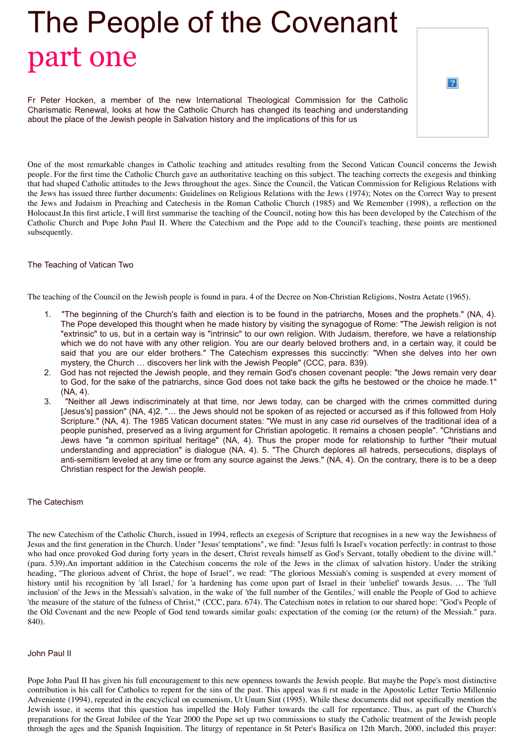## The People of the Covenant part one

| $\overline{?}$ |  |
|----------------|--|
|                |  |

Fr Peter Hocken, a member of the new International Theological Commission for the Catholic Charismatic Renewal, looks at how the Catholic Church has changed its teaching and understanding about the place of the Jewish people in Salvation history and the implications of this for us

One of the most remarkable changes in Catholic teaching and attitudes resulting from the Second Vatican Council concerns the Jewish people. For the first time the Catholic Church gave an authoritative teaching on this subject. The teaching corrects the exegesis and thinking that had shaped Catholic attitudes to the Jews throughout the ages. Since the Council, the Vatican Commission for Religious Relations with the Jews has issued three further documents: Guidelines on Religious Relations with the Jews (1974); Notes on the Correct Way to present the Jews and Judaism in Preaching and Catechesis in the Roman Catholic Church (1985) and We Remember (1998), a reflection on the Holocaust.In this first article, I will first summarise the teaching of the Council, noting how this has been developed by the Catechism of the Catholic Church and Pope John Paul II. Where the Catechism and the Pope add to the Council's teaching, these points are mentioned subsequently.

## The Teaching of Vatican Two

The teaching of the Council on the Jewish people is found in para. 4 of the Decree on Non-Christian Religions, Nostra Aetate (1965).

- 1. "The beginning of the Church's faith and election is to be found in the patriarchs, Moses and the prophets." (NA, 4). The Pope developed this thought when he made history by visiting the synagogue of Rome: "The Jewish religion is not "extrinsic" to us, but in a certain way is "intrinsic" to our own religion. With Judaism, therefore, we have a relationship which we do not have with any other religion. You are our dearly beloved brothers and, in a certain way, it could be said that you are our elder brothers." The Catechism expresses this succinctly: "When she delves into her own mystery, the Church … discovers her link with the Jewish People" (CCC, para. 839).
- 2. God has not rejected the Jewish people, and they remain God's chosen covenant people: "the Jews remain very dear to God, for the sake of the patriarchs, since God does not take back the gifts he bestowed or the choice he made.1" (NA, 4).
- 3. "Neither all Jews indiscriminately at that time, nor Jews today, can be charged with the crimes committed during [Jesus's] passion" (NA, 4)2. "... the Jews should not be spoken of as rejected or accursed as if this followed from Holy Scripture." (NA, 4). The 1985 Vatican document states: "We must in any case rid ourselves of the traditional idea of a people punished, preserved as a living argument for Christian apologetic. It remains a chosen people". "Christians and Jews have "a common spiritual heritage" (NA, 4). Thus the proper mode for relationship to further "their mutual understanding and appreciation" is dialogue (NA, 4). 5. "The Church deplores all hatreds, persecutions, displays of anti-semitism leveled at any time or from any source against the Jews." (NA, 4). On the contrary, there is to be a deep Christian respect for the Jewish people.

## The Catechism

The new Catechism of the Catholic Church, issued in 1994, reflects an exegesis of Scripture that recognises in a new way the Jewishness of Jesus and the first generation in the Church. Under "Jesus' temptations", we find: "Jesus fulfi ls Israel's vocation perfectly: in contrast to those who had once provoked God during forty years in the desert, Christ reveals himself as God's Servant, totally obedient to the divine will." (para. 539).An important addition in the Catechism concerns the role of the Jews in the climax of salvation history. Under the striking heading, "The glorious advent of Christ, the hope of Israel", we read: "The glorious Messiah's coming is suspended at every moment of history until his recognition by 'all Israel,' for 'a hardening has come upon part of Israel in their 'unbelief' towards Jesus. … The 'full inclusion' of the Jews in the Messiah's salvation, in the wake of 'the full number of the Gentiles,' will enable the People of God to achieve 'the measure of the stature of the fulness of Christ,'" (CCC, para. 674). The Catechism notes in relation to our shared hope: "God's People of the Old Covenant and the new People of God tend towards similar goals: expectation of the coming (or the return) of the Messiah." para. 840).

## John Paul II

Pope John Paul II has given his full encouragement to this new openness towards the Jewish people. But maybe the Pope's most distinctive contribution is his call for Catholics to repent for the sins of the past. This appeal was fi rst made in the Apostolic Letter Tertio Millennio Adveniente (1994), repeated in the encyclical on ecumenism, Ut Unum Sint (1995). While these documents did not specifically mention the Jewish issue, it seems that this question has impelled the Holy Father towards the call for repentance. Thus, as part of the Church's preparations for the Great Jubilee of the Year 2000 the Pope set up two commissions to study the Catholic treatment of the Jewish people through the ages and the Spanish Inquisition. The liturgy of repentance in St Peter's Basilica on 12th March, 2000, included this prayer: